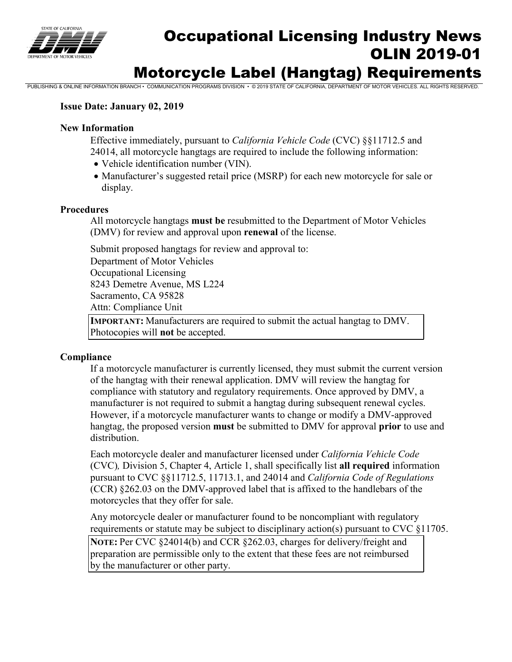

# Occupational Licensing Industry News OLIN 2019-01 Motorcycle Label (Hangtag) Requirements

PUBLISHING & ONLINE INFORMATION BRANCH • COMMUNICATION PROGRAMS DIVISION • © 2019 STATE OF CALIFORNIA, DEPARTMENT OF MOTOR VEHICLES. ALL RIGHTS RESERVED.

## **Issue Date: January 02, 2019**

### **New Information**

Effective immediately, pursuant to *California Vehicle Code* (CVC) §§11712.5 and 24014, all motorcycle hangtags are required to include the following information:

- Vehicle identification number (VIN).
- Manufacturer's suggested retail price (MSRP) for each new motorcycle for sale or display.

#### **Procedures**

All motorcycle hangtags **must be** resubmitted to the Department of Motor Vehicles (DMV) for review and approval upon **renewal** of the license.

Submit proposed hangtags for review and approval to:

Department of Motor Vehicles Occupational Licensing 8243 Demetre Avenue, MS L224 Sacramento, CA 95828 Attn: Compliance Unit

**IMPORTANT:** Manufacturers are required to submit the actual hangtag to DMV. Photocopies will **not** be accepted.

## **Compliance**

If a motorcycle manufacturer is currently licensed, they must submit the current version of the hangtag with their renewal application. DMV will review the hangtag for compliance with statutory and regulatory requirements. Once approved by DMV, a manufacturer is not required to submit a hangtag during subsequent renewal cycles. However, if a motorcycle manufacturer wants to change or modify a DMV-approved hangtag, the proposed version **must** be submitted to DMV for approval **prior** to use and distribution.

Each motorcycle dealer and manufacturer licensed under *California Vehicle Code*  (CVC)*,* Division 5, Chapter 4, Article 1, shall specifically list **all required** information pursuant to CVC §§11712.5, 11713.1, and 24014 and *California Code of Regulations* (CCR) §262.03 on the DMV-approved label that is affixed to the handlebars of the motorcycles that they offer for sale.

Any motorcycle dealer or manufacturer found to be noncompliant with regulatory requirements or statute may be subject to disciplinary action(s) pursuant to CVC §11705.

**NOTE:** Per CVC §24014(b) and CCR §262.03, charges for delivery/freight and preparation are permissible only to the extent that these fees are not reimbursed by the manufacturer or other party.